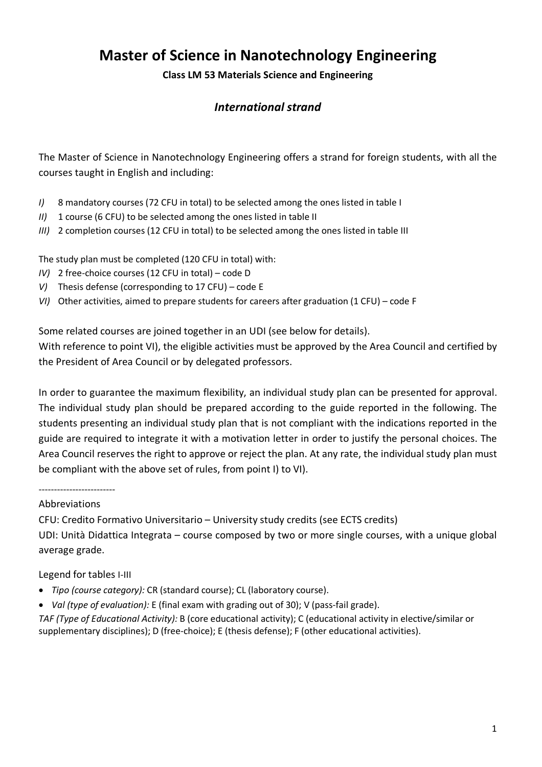# **Master of Science in Nanotechnology Engineering**

**Class LM 53 Materials Science and Engineering**

## *International strand*

The Master of Science in Nanotechnology Engineering offers a strand for foreign students, with all the courses taught in English and including:

- *I)* 8 mandatory courses (72 CFU in total) to be selected among the ones listed in table I
- *II)* 1 course (6 CFU) to be selected among the ones listed in table II
- *III)* 2 completion courses (12 CFU in total) to be selected among the ones listed in table III

The study plan must be completed (120 CFU in total) with:

- *IV)* 2 free-choice courses (12 CFU in total) code D
- *V)* Thesis defense (corresponding to 17 CFU) code E
- *VI)* Other activities, aimed to prepare students for careers after graduation (1 CFU) code F

Some related courses are joined together in an UDI (see below for details).

With reference to point VI), the eligible activities must be approved by the Area Council and certified by the President of Area Council or by delegated professors.

In order to guarantee the maximum flexibility, an individual study plan can be presented for approval. The individual study plan should be prepared according to the guide reported in the following. The students presenting an individual study plan that is not compliant with the indications reported in the guide are required to integrate it with a motivation letter in order to justify the personal choices. The Area Council reserves the right to approve or reject the plan. At any rate, the individual study plan must be compliant with the above set of rules, from point I) to VI).

-------------------------

### Abbreviations

CFU: Credito Formativo Universitario – University study credits (see ECTS credits) UDI: Unità Didattica Integrata – course composed by two or more single courses, with a unique global average grade.

Legend for tables I-III

- *Tipo (course category):* CR (standard course); CL (laboratory course).
- *Val (type of evaluation):* E (final exam with grading out of 30); V (pass-fail grade).

*TAF (Type of Educational Activity):* B (core educational activity); C (educational activity in elective/similar or supplementary disciplines); D (free-choice); E (thesis defense); F (other educational activities).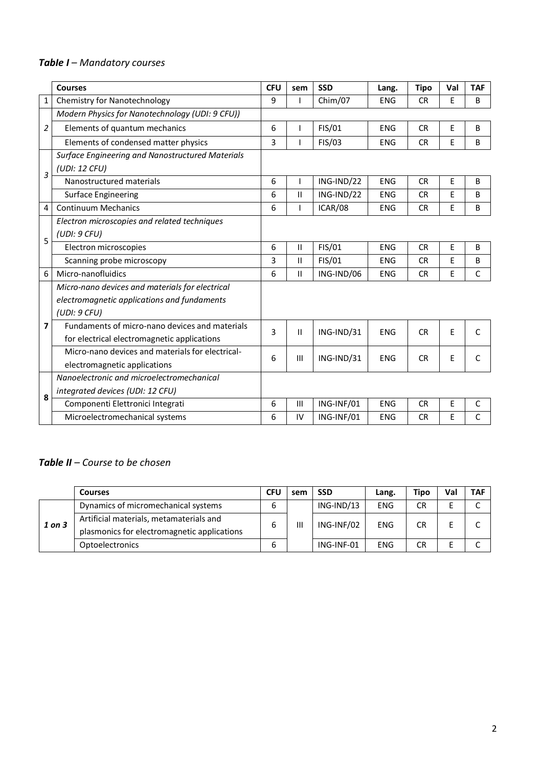## *TabIe I – Mandatory courses*

|                | <b>Courses</b>                                   | <b>CFU</b>         | sem           | <b>SSD</b> | Lang.      | <b>Tipo</b> | Val          | <b>TAF</b>   |
|----------------|--------------------------------------------------|--------------------|---------------|------------|------------|-------------|--------------|--------------|
| 1              | <b>Chemistry for Nanotechnology</b>              | 9                  |               | Chim/07    | <b>ENG</b> | <b>CR</b>   | E            | B            |
| $\overline{2}$ | Modern Physics for Nanotechnology (UDI: 9 CFU))  |                    |               |            |            |             |              |              |
|                | Elements of quantum mechanics                    | 6                  |               | FIS/01     | <b>ENG</b> | <b>CR</b>   | E            | B            |
|                | Elements of condensed matter physics             | 3                  |               | FIS/03     | <b>ENG</b> | <b>CR</b>   | E            | B            |
| $\mathfrak{Z}$ | Surface Engineering and Nanostructured Materials |                    |               |            |            |             |              |              |
|                | (UDI: 12 CFU)                                    |                    |               |            |            |             |              |              |
|                | Nanostructured materials                         | 6                  |               | ING-IND/22 | <b>ENG</b> | <b>CR</b>   | E            | B            |
|                | <b>Surface Engineering</b>                       | 6                  | $\mathsf{II}$ | ING-IND/22 | <b>ENG</b> | <b>CR</b>   | E            | B            |
| 4              | <b>Continuum Mechanics</b>                       | 6                  |               | ICAR/08    | <b>ENG</b> | <b>CR</b>   | E            | B            |
| 5              | Electron microscopies and related techniques     |                    |               |            |            |             |              |              |
|                | (UDI: 9 CFU)                                     |                    |               |            |            |             |              |              |
|                | Electron microscopies                            | 6                  | Ш             | FIS/01     | <b>ENG</b> | <b>CR</b>   | E            | B            |
|                | Scanning probe microscopy                        | 3                  | $\mathsf{II}$ | FIS/01     | <b>ENG</b> | <b>CR</b>   | E            | B            |
| 6              | Micro-nanofluidics                               | 6                  | II            | ING-IND/06 | <b>ENG</b> | <b>CR</b>   | E            | $\mathsf C$  |
|                | Micro-nano devices and materials for electrical  |                    |               |            |            |             |              |              |
|                | electromagnetic applications and fundaments      |                    |               |            |            |             |              |              |
|                | (UDI: 9 CFU)                                     |                    |               |            |            |             |              |              |
| 7              | Fundaments of micro-nano devices and materials   | 3<br>$\mathbf{II}$ | ING-IND/31    | <b>ENG</b> | <b>CR</b>  | E           | $\mathsf{C}$ |              |
|                | for electrical electromagnetic applications      |                    |               |            |            |             |              |              |
|                | Micro-nano devices and materials for electrical- | 6                  | III           | ING-IND/31 | <b>ENG</b> | <b>CR</b>   | E            | C            |
|                | electromagnetic applications                     |                    |               |            |            |             |              |              |
| 8              | Nanoelectronic and microelectromechanical        |                    |               |            |            |             |              |              |
|                | integrated devices (UDI: 12 CFU)                 |                    |               |            |            |             |              |              |
|                | Componenti Elettronici Integrati                 | 6                  | Ш             | ING-INF/01 | <b>ENG</b> | <b>CR</b>   | E            | $\mathsf C$  |
|                | Microelectromechanical systems                   | 6                  | IV            | ING-INF/01 | <b>ENG</b> | <b>CR</b>   | E            | $\mathsf{C}$ |

## *Table II – Course to be chosen*

|        | <b>Courses</b>                              | <b>CFL</b> | sem | <b>SSD</b> | Lang.            | Tipo | Val | <b>TAF</b> |
|--------|---------------------------------------------|------------|-----|------------|------------------|------|-----|------------|
|        | Dynamics of micromechanical systems         | 6          |     | ING-IND/13 | <b>ENG</b>       | CR   |     |            |
| 1 on 3 | Artificial materials, metamaterials and     | h          |     | ING-INF/02 | <b>ENG</b><br>CR |      |     |            |
|        | plasmonics for electromagnetic applications |            |     |            |                  |      |     |            |
|        | <b>Optoelectronics</b>                      | b          |     | ING-INF-01 | ENG.             | CR   |     |            |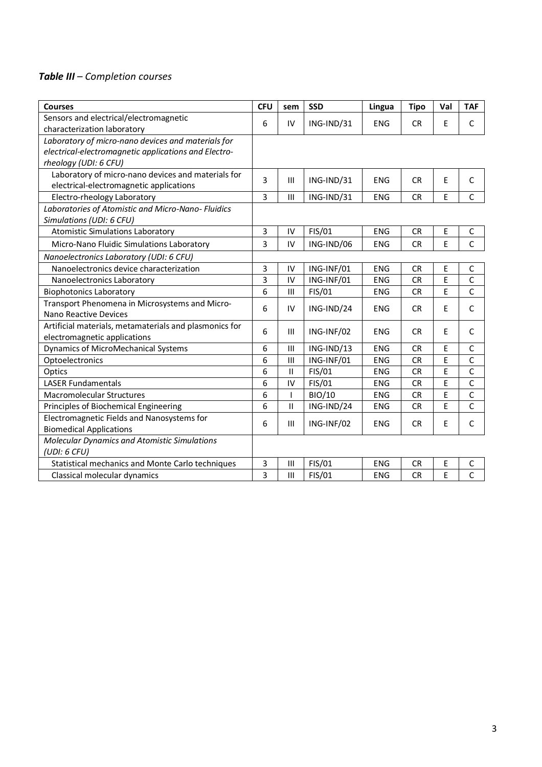## *Table III – Completion courses*

| <b>Courses</b>                                         | <b>CFU</b> | sem                    | <b>SSD</b> | Lingua     | <b>Tipo</b> | Val | <b>TAF</b>              |
|--------------------------------------------------------|------------|------------------------|------------|------------|-------------|-----|-------------------------|
| Sensors and electrical/electromagnetic                 | 6          | IV                     | ING-IND/31 | <b>ENG</b> | <b>CR</b>   | E   | $\mathsf{C}$            |
| characterization laboratory                            |            |                        |            |            |             |     |                         |
| Laboratory of micro-nano devices and materials for     |            |                        |            |            |             |     |                         |
| electrical-electromagnetic applications and Electro-   |            |                        |            |            |             |     |                         |
| rheology (UDI: 6 CFU)                                  |            |                        |            |            |             |     |                         |
| Laboratory of micro-nano devices and materials for     | 3          | III                    | ING-IND/31 | <b>ENG</b> | <b>CR</b>   | E   | $\mathsf{C}$            |
| electrical-electromagnetic applications                |            |                        |            |            |             |     |                         |
| Electro-rheology Laboratory                            | 3          | Ш                      | ING-IND/31 | <b>ENG</b> | <b>CR</b>   | E   | C                       |
| Laboratories of Atomistic and Micro-Nano- Fluidics     |            |                        |            |            |             |     |                         |
| Simulations (UDI: 6 CFU)                               |            |                        |            |            |             |     |                         |
| <b>Atomistic Simulations Laboratory</b>                | 3          | IV                     | FIS/01     | <b>ENG</b> | <b>CR</b>   | E   | $\mathsf C$             |
| Micro-Nano Fluidic Simulations Laboratory              | 3          | IV                     | ING-IND/06 | <b>ENG</b> | CR          | E   | $\mathsf C$             |
| Nanoelectronics Laboratory (UDI: 6 CFU)                |            |                        |            |            |             |     |                         |
| Nanoelectronics device characterization                | 3          | IV                     | ING-INF/01 | <b>ENG</b> | <b>CR</b>   | E   | $\mathsf C$             |
| Nanoelectronics Laboratory                             | 3          | IV                     | ING-INF/01 | <b>ENG</b> | CR          | E   | $\mathsf C$             |
| <b>Biophotonics Laboratory</b>                         | 6          | III                    | FIS/01     | <b>ENG</b> | <b>CR</b>   | E   | $\mathsf{C}$            |
| Transport Phenomena in Microsystems and Micro-         | 6          | IV                     | ING-IND/24 | <b>ENG</b> | <b>CR</b>   | E   | C                       |
| <b>Nano Reactive Devices</b>                           |            |                        |            |            |             |     |                         |
| Artificial materials, metamaterials and plasmonics for | 6          | Ш                      | ING-INF/02 | <b>ENG</b> | <b>CR</b>   | E   | C                       |
| electromagnetic applications                           |            |                        |            |            |             |     |                         |
| Dynamics of MicroMechanical Systems                    | 6          | III                    | ING-IND/13 | <b>ENG</b> | <b>CR</b>   | E   | $\mathsf C$             |
| Optoelectronics                                        | 6          | III                    | ING-INF/01 | <b>ENG</b> | <b>CR</b>   | E   | $\overline{C}$          |
| Optics                                                 | 6          | $\sf II$               | FIS/01     | <b>ENG</b> | <b>CR</b>   | E   | $\overline{\mathsf{C}}$ |
| <b>LASER Fundamentals</b>                              | 6          | IV                     | FIS/01     | <b>ENG</b> | <b>CR</b>   | E   | $\mathsf{C}$            |
| <b>Macromolecular Structures</b>                       | 6          | $\overline{1}$         | BIO/10     | <b>ENG</b> | CR          | E   | $\mathsf{C}$            |
| Principles of Biochemical Engineering                  | 6          | $\mathsf{I}\mathsf{I}$ | ING-IND/24 | <b>ENG</b> | <b>CR</b>   | E   | $\overline{C}$          |
| Electromagnetic Fields and Nanosystems for             | 6          | Ш                      | ING-INF/02 | <b>ENG</b> | CR          | E   | $\mathsf C$             |
| <b>Biomedical Applications</b>                         |            |                        |            |            |             |     |                         |
| <b>Molecular Dynamics and Atomistic Simulations</b>    |            |                        |            |            |             |     |                         |
| (UDI: 6 CFU)                                           |            |                        |            |            |             |     |                         |
| Statistical mechanics and Monte Carlo techniques       | 3          | Ш                      | FIS/01     | <b>ENG</b> | <b>CR</b>   | E   | $\mathsf C$             |
| Classical molecular dynamics                           | 3          | Ш                      | FIS/01     | <b>ENG</b> | <b>CR</b>   | E   | C                       |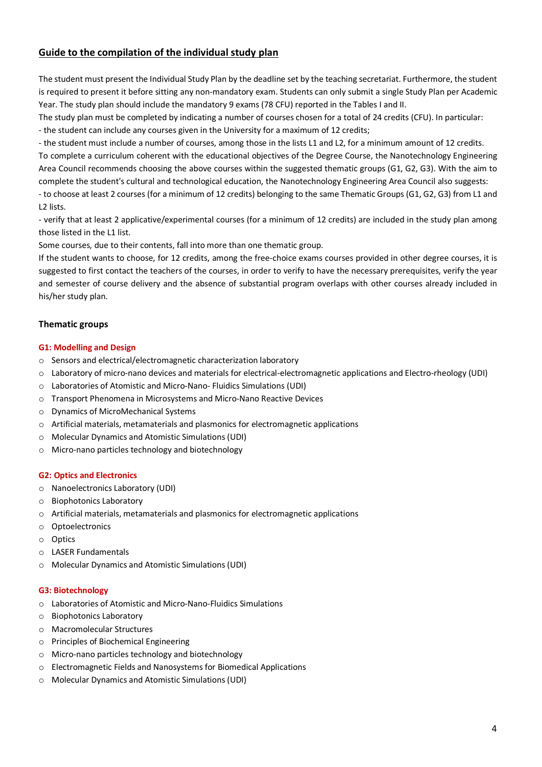#### **Guide to the compilation of the individual study plan**

The student must present the Individual Study Plan by the deadline set by the teaching secretariat. Furthermore, the student is required to present it before sitting any non-mandatory exam. Students can only submit a single Study Plan per Academic Year. The study plan should include the mandatory 9 exams (78 CFU) reported in the Tables I and II.

The study plan must be completed by indicating a number of courses chosen for a total of 24 credits (CFU). In particular: - the student can include any courses given in the University for a maximum of 12 credits;

- the student must include a number of courses, among those in the lists L1 and L2, for a minimum amount of 12 credits. To complete a curriculum coherent with the educational objectives of the Degree Course, the Nanotechnology Engineering Area Council recommends choosing the above courses within the suggested thematic groups (G1, G2, G3). With the aim to complete the student's cultural and technological education, the Nanotechnology Engineering Area Council also suggests:

- to choose at least 2 courses (for a minimum of 12 credits) belonging to the same Thematic Groups (G1, G2, G3) from L1 and L2 lists.

- verify that at least 2 applicative/experimental courses (for a minimum of 12 credits) are included in the study plan among those listed in the L1 list.

Some courses, due to their contents, fall into more than one thematic group.

If the student wants to choose, for 12 credits, among the free-choice exams courses provided in other degree courses, it is suggested to first contact the teachers of the courses, in order to verify to have the necessary prerequisites, verify the year and semester of course delivery and the absence of substantial program overlaps with other courses already included in his/her study plan.

#### **Thematic groups**

#### **G1: Modelling and Design**

- o Sensors and electrical/electromagnetic characterization laboratory
- o Laboratory of micro-nano devices and materials for electrical-electromagnetic applications and Electro-rheology (UDI)
- o Laboratories of Atomistic and Micro-Nano- Fluidics Simulations (UDI)
- o Transport Phenomena in Microsystems and Micro-Nano Reactive Devices
- o Dynamics of MicroMechanical Systems
- o Artificial materials, metamaterials and plasmonics for electromagnetic applications
- o Molecular Dynamics and Atomistic Simulations (UDI)
- o Micro-nano particles technology and biotechnology

#### **G2: Optics and Electronics**

- o Nanoelectronics Laboratory (UDI)
- o Biophotonics Laboratory
- $\circ$  Artificial materials, metamaterials and plasmonics for electromagnetic applications
- o Optoelectronics
- o Optics
- o LASER Fundamentals
- o Molecular Dynamics and Atomistic Simulations (UDI)

#### **G3: Biotechnology**

- o Laboratories of Atomistic and Micro-Nano-Fluidics Simulations
- o Biophotonics Laboratory
- o Macromolecular Structures
- o Principles of Biochemical Engineering
- o Micro-nano particles technology and biotechnology
- o Electromagnetic Fields and Nanosystems for Biomedical Applications
- o Molecular Dynamics and Atomistic Simulations (UDI)